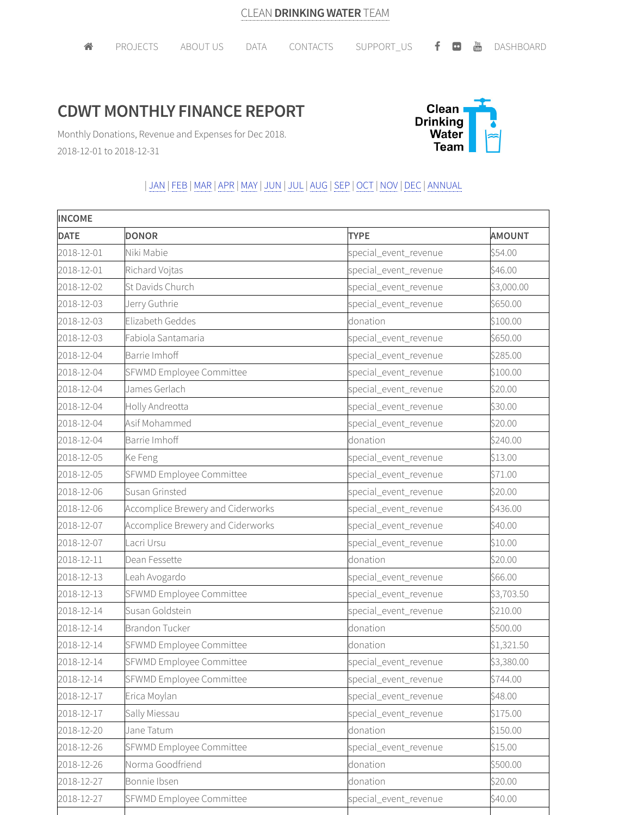## **CDWT MONTHLY FINANCE REPORT**



Monthly Donations, Revenue and Expenses for Dec 2018. 2018-12-01 to 2018-12-31

## | JAN | FEB |MAR |APR |MAY | JUN | JUL | AUG |SEP | OCT | NOV | DEC | ANNUAL

| <b>INCOME</b> |                                   |                       |               |
|---------------|-----------------------------------|-----------------------|---------------|
| <b>DATE</b>   | <b>DONOR</b>                      | <b>TYPE</b>           | <b>AMOUNT</b> |
| 2018-12-01    | Niki Mabie                        | special_event_revenue | \$54.00       |
| 2018-12-01    | Richard Vojtas                    | special_event_revenue | \$46.00       |
| 2018-12-02    | St Davids Church                  | special_event_revenue | \$3,000.00    |
| 2018-12-03    | Jerry Guthrie                     | special_event_revenue | \$650.00      |
| 2018-12-03    | Elizabeth Geddes                  | donation              | \$100.00      |
| 2018-12-03    | Fabiola Santamaria                | special_event_revenue | \$650.00      |
| 2018-12-04    | Barrie Imhoff                     | special_event_revenue | \$285.00      |
| 2018-12-04    | SFWMD Employee Committee          | special_event_revenue | \$100.00      |
| 2018-12-04    | James Gerlach                     | special_event_revenue | \$20.00       |
| 2018-12-04    | Holly Andreotta                   | special_event_revenue | \$30.00       |
| 2018-12-04    | Asif Mohammed                     | special_event_revenue | \$20.00       |
| 2018-12-04    | Barrie Imhoff                     | donation              | \$240.00      |
| 2018-12-05    | Ke Feng                           | special_event_revenue | \$13.00       |
| 2018-12-05    | SFWMD Employee Committee          | special_event_revenue | \$71.00       |
| 2018-12-06    | Susan Grinsted                    | special_event_revenue | \$20.00       |
| 2018-12-06    | Accomplice Brewery and Ciderworks | special_event_revenue | \$436.00      |
| 2018-12-07    | Accomplice Brewery and Ciderworks | special_event_revenue | \$40.00       |
| 2018-12-07    | Lacri Ursu                        | special_event_revenue | \$10.00       |
| 2018-12-11    | Dean Fessette                     | donation              | \$20.00       |
| 2018-12-13    | Leah Avogardo                     | special_event_revenue | \$66.00       |
| 2018-12-13    | SFWMD Employee Committee          | special_event_revenue | \$3,703.50    |
| 2018-12-14    | Susan Goldstein                   | special_event_revenue | \$210.00      |
| 2018-12-14    | Brandon Tucker                    | donation              | \$500.00      |
| 2018-12-14    | SFWMD Employee Committee          | donation              | \$1,321.50    |
| 2018-12-14    | SFWMD Employee Committee          | special_event_revenue | \$3,380.00    |
| 2018-12-14    | SFWMD Employee Committee          | special_event_revenue | \$744.00      |
| 2018-12-17    | Erica Moylan                      | special_event_revenue | \$48.00       |
| 2018-12-17    | Sally Miessau                     | special_event_revenue | \$175.00      |
| 2018-12-20    | Jane Tatum                        | donation              | \$150.00      |
| 2018-12-26    | SFWMD Employee Committee          | special event revenue | \$15.00       |
| 2018-12-26    | Norma Goodfriend                  | donation              | \$500.00      |
| 2018-12-27    | Bonnie Ibsen                      | donation              | \$20.00       |
| 2018-12-27    | SFWMD Employee Committee          | special_event_revenue | \$40.00       |
|               |                                   |                       |               |